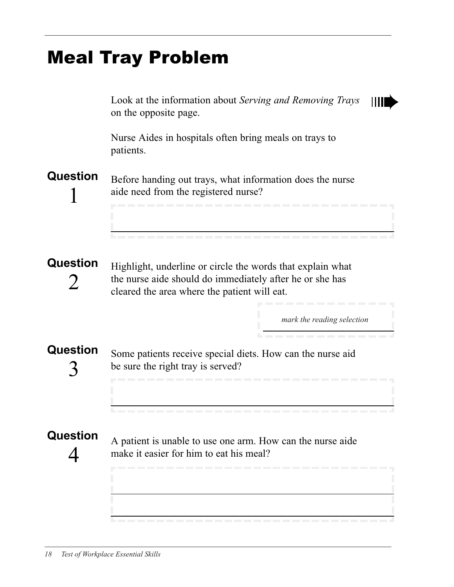## Meal Tray Problem

Look at the information about Serving and Removing Trays on the opposite page. Nurse Aides in hospitals often bring meals on trays to patients. Question Before handing out trays, what information does the nurse 1 aide need from the registered nurse? Question Highlight, underline or circle the words that explain what 2 the nurse aide should do immediately after he or she has cleared the area where the patient will eat. Mark the reading selection *mark the reading selection*Question Some patients receive special diets. How can the nurse aid be sure the right tray is served? 3 **Question** A patient is unable to use one arm. How can the nurse aide  $\varDelta$ make it easier for him to eat his meal?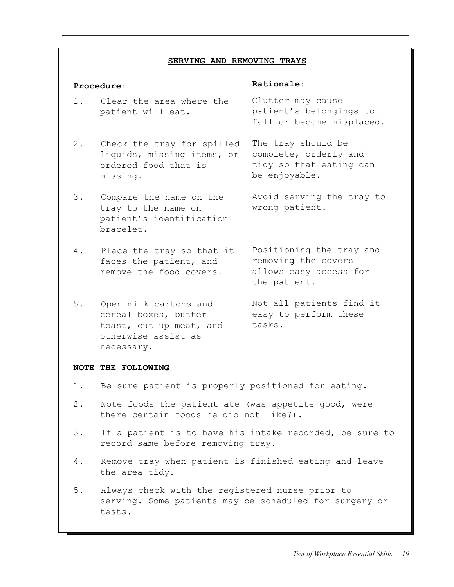#### SERVING AND REMOVING TRAYS

### Procedure:

### Rationale:

- Clutter may cause patient's belongings to 1. Clear the area where the patient will eat.
- 2. Check the tray for spilled liquids, missing items, or ordered food that is missing.
- 3. Compare the name on the tray to the name on patient's identification bracelet.
- 4. Place the tray so that it faces the patient, and remove the food covers.
- 5. Open milk cartons and cereal boxes, butter toast, cut up meat, and otherwise assist as necessary.

fall or become misplaced. The tray should be

complete, orderly and tidy so that eating can be enjoyable.

Avoid serving the tray to wrong patient.

Positioning the tray and removing the covers allows easy access for the patient.

Not all patients find it easy to perform these tasks.

#### NOTE THE FOLLOWING

- 1. Be sure patient is properly positioned for eating.
- 2. Note foods the patient ate (was appetite good, were there certain foods he did not like?).
- 3. If a patient is to have his intake recorded, be sure to record same before removing tray.
- 4. Remove tray when patient is finished eating and leave the area tidy.
- 5. Always check with the registered nurse prior to serving. Some patients may be scheduled for surgery or tests.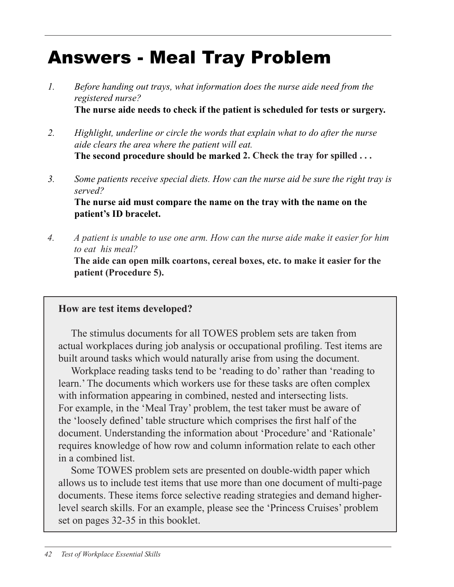# Answers - Meal Tray Problem

- 1. Before handing out trays, what information does the nurse aide need from the registered nurse? The nurse aide needs to check if the patient is scheduled for tests or surgery.
- 2. Highlight, underline or circle the words that explain what to do after the nurse aide clears the area where the patient will eat. The second procedure should be marked 2. Check the tray for spilled . . . **2. Check the tray for spilled . . .**
- 3. Some patients receive special diets. How can the nurse aid be sure the right tray is served? The nurse aid must compare the name on the tray with the name on the patient's ID bracelet.
- 4. A patient is unable to use one arm. How can the nurse aide make it easier for him  *4. A patient is unable to use one arm. How can the nurse aide make it easier for him*  to eat his meal?  *to eat his meal?*

The aide can open milk cartons, cereal boxes, etc. to make it easier for the **The aide can open milk coartons, cereal boxes, etc. to make it easier for the**  patient (Procedure 5).  **patient (Procedure 5).**

### How are test items developed? **How are test items developed?**

actual workplaces during job analysis or occupational profiling. Test items are actual workplaces during job analysis or occupational profiling. Test items built around tasks which would naturally arise from using the document. The stimulus documents for all TOWES problem sets are taken from

Workplace reading tasks tend to be 'reading to do' rather than 'reading to Workplace reading tasks tend to be 'reading to do' than 'reading to learn.' The documents which workers use for these tasks are often complex learn.' The documents which workers use for these tasks are often complex with information appearing in combined, nested and intersecting lists. with information appearing in combined, nested and intersecting lists. For For example, in the 'Meal Tray' problem, the test taker must be aware of example, in the 'Meal Tray' problem, the test taker must be aware of the the 'loosely defined' table structure which comprises the first half of the 'loosely defined' table structure which comprises the first half of the document. Understanding the information about 'Procedure' and 'Rationale' document. Understanding the information about 'Procedure' and 'Rationale' requires knowledge of how row and column information relate to each other requires knowledge of how row and column information relate to each other in a combined list.

Some TOWES problem sets are presented on double-width paper which allows us to include test items that use more than one document of multi-page allows us to include test items that use more than one document or multi-documents. These items force selective reading strategies and demand higherpage documents. These items force selective reading strategies and demand level search skills. For an example, please see the 'Princess Cruises' problem set on pages 32-35 in this booklet.